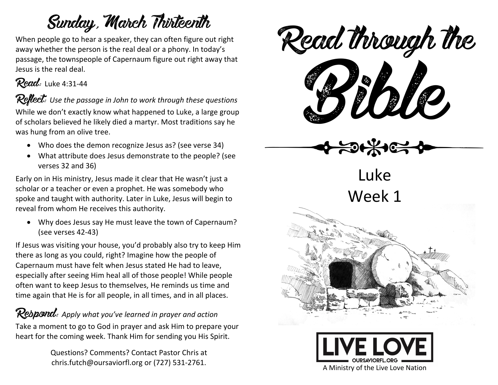# Sunday, March Thirteenth

When people go to hear a speaker, they can often figure out right away whether the person is the real deal or a phony. In today's passage, the townspeople of Capernaum figure out right away that Jesus is the real deal.



**Reflect:** Use the passage in John to work through these questions While we don't exactly know what happened to Luke, a large group of scholars believed he likely died a martyr. Most traditions say he was hung from an olive tree.

- Who does the demon recognize Jesus as? (see verse 34)
- What attribute does Jesus demonstrate to the people? (see verses 32 and 36)

Early on in His ministry, Jesus made it clear that He wasn't just a scholar or a teacher or even a prophet. He was somebody who spoke and taught with authority. Later in Luke, Jesus will begin to reveal from whom He receives this authority.

• Why does Jesus say He must leave the town of Capernaum? (see verses 42-43)

If Jesus was visiting your house, you'd probably also try to keep Him there as long as you could, right? Imagine how the people of Capernaum must have felt when Jesus stated He had to leave, especially after seeing Him heal all of those people! While people often want to keep Jesus to themselves, He reminds us time and time again that He is for all people, in all times, and in all places.

### **Respond:** Apply what you've learned in prayer and action

Take a moment to go to God in prayer and ask Him to prepare your heart for the coming week. Thank Him for sending you His Spirit.

> Questions? Comments? Contact Pastor Chris at chris.futch@oursaviorfl.org or (727) 531-2761.



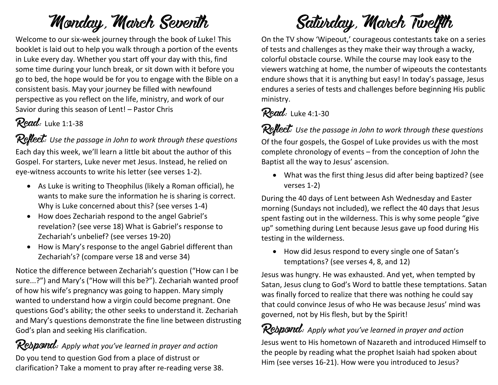# Monday, March Seventh

Welcome to our six-week journey through the book of Luke! This booklet is laid out to help you walk through a portion of the events in Luke every day. Whether you start off your day with this, find some time during your lunch break, or sit down with it before you go to bed, the hope would be for you to engage with the Bible on a consistent basis. May your journey be filled with newfound perspective as you reflect on the life, ministry, and work of our Savior during this season of Lent! – Pastor Chris

### Read: Luke 1:1-38

Reflect: Use the passage in John to work through these questions Each day this week, we'll learn a little bit about the author of this Gospel. For starters, Luke never met Jesus. Instead, he relied on eye-witness accounts to write his letter (see verses 1-2).

- As Luke is writing to Theophilus (likely a Roman official), he wants to make sure the information he is sharing is correct. Why is Luke concerned about this? (see verses 1-4)
- How does Zechariah respond to the angel Gabriel's revelation? (see verse 18) What is Gabriel's response to Zechariah's unbelief? (see verses 19-20)
- How is Mary's response to the angel Gabriel different than Zechariah's? (compare verse 18 and verse 34)

Notice the difference between Zechariah's question ("How can I be sure...?") and Mary's ("How will this be?"). Zechariah wanted proof of how his wife's pregnancy was going to happen. Mary simply wanted to understand how a virgin could become pregnant. One questions God's ability; the other seeks to understand it. Zechariah and Mary's questions demonstrate the fine line between distrusting God's plan and seeking His clarification.

Rebpond: Apply what you've learned in prayer and action Do you tend to question God from a place of distrust or clarification? Take a moment to pray after re-reading verse 38.

# Saturday, March Twelfth

On the TV show 'Wipeout,' courageous contestants take on a series of tests and challenges as they make their way through a wacky, colorful obstacle course. While the course may look easy to the viewers watching at home, the number of wipeouts the contestants endure shows that it is anything but easy! In today's passage, Jesus endures a series of tests and challenges before beginning His public ministry.

## Read: Luke 4:1-30

Reflect: Use the passage in John to work through these questions Of the four gospels, the Gospel of Luke provides us with the most complete chronology of events – from the conception of John the Baptist all the way to Jesus' ascension.

• What was the first thing Jesus did after being baptized? (see verses 1-2)

During the 40 days of Lent between Ash Wednesday and Easter morning (Sundays not included), we reflect the 40 days that Jesus spent fasting out in the wilderness. This is why some people "give up" something during Lent because Jesus gave up food during His testing in the wilderness.

• How did Jesus respond to every single one of Satan's temptations? (see verses 4, 8, and 12)

Jesus was hungry. He was exhausted. And yet, when tempted by Satan, Jesus clung to God's Word to battle these temptations. Satan was finally forced to realize that there was nothing he could say that could convince Jesus of who He was because Jesus' mind was governed, not by His flesh, but by the Spirit!

## Respond: Apply what you've learned in prayer and action

Jesus went to His hometown of Nazareth and introduced Himself to the people by reading what the prophet Isaiah had spoken about Him (see verses 16-21). How were you introduced to Jesus?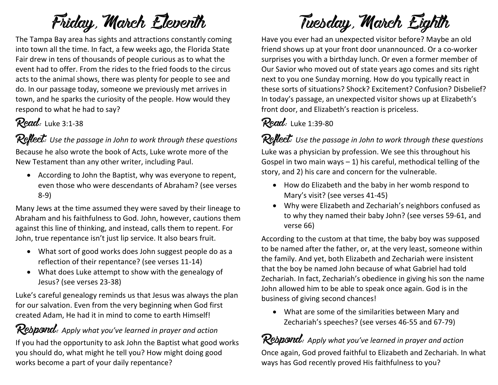# Friday, March Eleventh

The Tampa Bay area has sights and attractions constantly coming into town all the time. In fact, a few weeks ago, the Florida State Fair drew in tens of thousands of people curious as to what the event had to offer. From the rides to the fried foods to the circus acts to the animal shows, there was plenty for people to see and do. In our passage today, someone we previously met arrives in town, and he sparks the curiosity of the people. How would they respond to what he had to say?

### Read: Luke 3:1-38

Reflect: Use the passage in John to work through these questions Because he also wrote the book of Acts, Luke wrote more of the New Testament than any other writer, including Paul.

• According to John the Baptist, why was everyone to repent, even those who were descendants of Abraham? (see verses 8-9)

Many Jews at the time assumed they were saved by their lineage to Abraham and his faithfulness to God. John, however, cautions them against this line of thinking, and instead, calls them to repent. For John, true repentance isn't just lip service. It also bears fruit.

- What sort of good works does John suggest people do as a reflection of their repentance? (see verses 11-14)
- What does Luke attempt to show with the genealogy of Jesus? (see verses 23-38)

Luke's careful genealogy reminds us that Jesus was always the plan for our salvation. Even from the very beginning when God first created Adam, He had it in mind to come to earth Himself!

Respond: Apply what you've learned in prayer and action If you had the opportunity to ask John the Baptist what good works you should do, what might he tell you? How might doing good works become a part of your daily repentance?

# Tuesday, March Eighth

Have you ever had an unexpected visitor before? Maybe an old friend shows up at your front door unannounced. Or a co-worker surprises you with a birthday lunch. Or even a former member of Our Savior who moved out of state years ago comes and sits right next to you one Sunday morning. How do you typically react in these sorts of situations? Shock? Excitement? Confusion? Disbelief? In today's passage, an unexpected visitor shows up at Elizabeth's front door, and Elizabeth's reaction is priceless.

### Read: Luke 1:39-80

Reflect: Use the passage in John to work through these questions Luke was a physician by profession. We see this throughout his Gospel in two main ways  $-1$ ) his careful, methodical telling of the story, and 2) his care and concern for the vulnerable.

- How do Elizabeth and the baby in her womb respond to Mary's visit? (see verses 41-45)
- Why were Elizabeth and Zechariah's neighbors confused as to why they named their baby John? (see verses 59-61, and verse 66)

According to the custom at that time, the baby boy was supposed to be named after the father, or, at the very least, someone within the family. And yet, both Elizabeth and Zechariah were insistent that the boy be named John because of what Gabriel had told Zechariah. In fact, Zechariah's obedience in giving his son the name John allowed him to be able to speak once again. God is in the business of giving second chances!

• What are some of the similarities between Mary and Zechariah's speeches? (see verses 46-55 and 67-79)

## Respond: Apply what you've learned in prayer and action

Once again, God proved faithful to Elizabeth and Zechariah. In what ways has God recently proved His faithfulness to you?